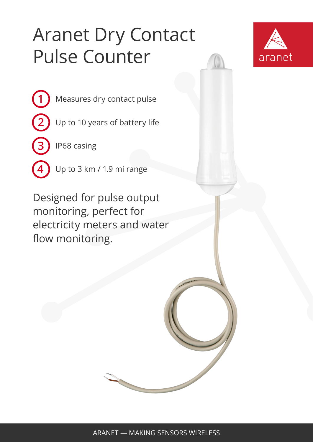## Aranet Dry Contact Pulse Counter



Measures dry contact pulse

Up to 10 years of battery life

IP68 casing

**1**

**2**

**3**

**4**

Up to 3 km / 1.9 mi range

Designed for pulse output monitoring, perfect for electricity meters and water flow monitoring.